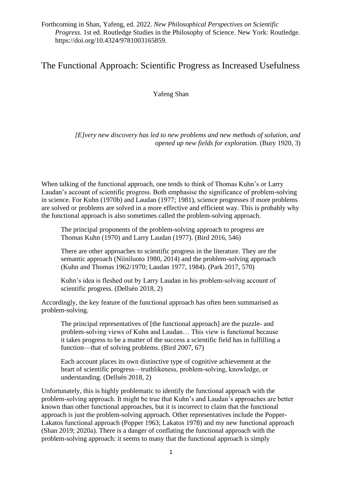# The Functional Approach: Scientific Progress as Increased Usefulness

Yafeng Shan

# *[E]very new discovery has led to new problems and new methods of solution, and opened up new fields for exploration.* (Bury 1920, 3)

When talking of the functional approach, one tends to think of Thomas Kuhn's or Larry Laudan's account of scientific progress. Both emphasise the significance of problem-solving in science. For Kuhn (1970b) and Laudan (1977; 1981), science progresses if more problems are solved or problems are solved in a more effective and efficient way. This is probably why the functional approach is also sometimes called the problem-solving approach.

The principal proponents of the problem-solving approach to progress are Thomas Kuhn (1970) and Larry Laudan (1977). (Bird 2016, 546)

There are other approaches to scientific progress in the literature. They are the semantic approach (Niiniluoto 1980, 2014) and the problem-solving approach (Kuhn and Thomas 1962/1970; Laudan 1977, 1984). (Park 2017, 570)

Kuhn's idea is fleshed out by Larry Laudan in his problem‐solving account of scientific progress. (Dellsén 2018, 2)

Accordingly, the key feature of the functional approach has often been summarised as problem-solving.

The principal representatives of [the functional approach] are the puzzle- and problem-solving views of Kuhn and Laudan… This view is functional because it takes progress to be a matter of the success a scientific field has in fulfilling a function—that of solving problems. (Bird 2007, 67)

Each account places its own distinctive type of cognitive achievement at the heart of scientific progress—truthlikeness, problem‐solving, knowledge, or understanding. (Dellsén 2018, 2)

Unfortunately, this is highly problematic to identify the functional approach with the problem-solving approach. It might be true that Kuhn's and Laudan's approaches are better known than other functional approaches, but it is incorrect to claim that the functional approach is just the problem-solving approach. Other representatives include the Popper-Lakatos functional approach (Popper 1963; Lakatos 1978) and my new functional approach (Shan 2019; 2020a). There is a danger of conflating the functional approach with the problem-solving approach: it seems to many that the functional approach is simply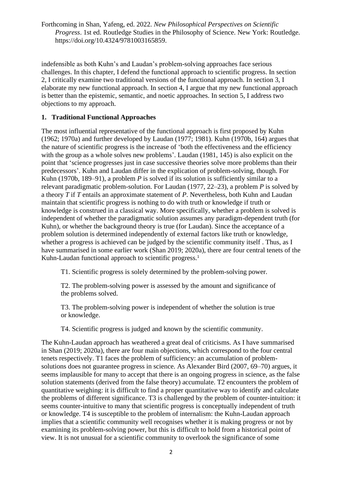indefensible as both Kuhn's and Laudan's problem-solving approaches face serious challenges. In this chapter, I defend the functional approach to scientific progress. In section 2, I critically examine two traditional versions of the functional approach. In section 3, I elaborate my new functional approach. In section 4, I argue that my new functional approach is better than the epistemic, semantic, and noetic approaches. In section 5, I address two objections to my approach.

## **1. Traditional Functional Approaches**

The most influential representative of the functional approach is first proposed by Kuhn (1962; 1970a) and further developed by Laudan (1977; 1981). Kuhn (1970b, 164) argues that the nature of scientific progress is the increase of 'both the effectiveness and the efficiency with the group as a whole solves new problems'. Laudan (1981, 145) is also explicit on the point that 'science progresses just in case successive theories solve more problems than their predecessors'. Kuhn and Laudan differ in the explication of problem-solving, though. For Kuhn (1970b, 189–91), a problem *P* is solved if its solution is sufficiently similar to a relevant paradigmatic problem-solution. For Laudan (1977, 22–23), a problem *P* is solved by a theory *T* if *T* entails an approximate statement of *P*. Nevertheless, both Kuhn and Laudan maintain that scientific progress is nothing to do with truth or knowledge if truth or knowledge is construed in a classical way. More specifically, whether a problem is solved is independent of whether the paradigmatic solution assumes any paradigm-dependent truth (for Kuhn), or whether the background theory is true (for Laudan). Since the acceptance of a problem solution is determined independently of external factors like truth or knowledge, whether a progress is achieved can be judged by the scientific community itself . Thus, as I have summarised in some earlier work (Shan 2019; 2020a), there are four central tenets of the Kuhn-Laudan functional approach to scientific progress. 1

T1. Scientific progress is solely determined by the problem-solving power.

T2. The problem-solving power is assessed by the amount and significance of the problems solved.

T3. The problem-solving power is independent of whether the solution is true or knowledge.

T4. Scientific progress is judged and known by the scientific community.

The Kuhn-Laudan approach has weathered a great deal of criticisms. As I have summarised in Shan (2019; 2020a), there are four main objections, which correspond to the four central tenets respectively. T1 faces the problem of sufficiency: an accumulation of problemsolutions does not guarantee progress in science. As Alexander Bird (2007, 69–70) argues, it seems implausible for many to accept that there is an ongoing progress in science, as the false solution statements (derived from the false theory) accumulate. T2 encounters the problem of quantitative weighing: it is difficult to find a proper quantitative way to identify and calculate the problems of different significance. T3 is challenged by the problem of counter-intuition: it seems counter-intuitive to many that scientific progress is conceptually independent of truth or knowledge. T4 is susceptible to the problem of internalism: the Kuhn-Laudan approach implies that a scientific community well recognises whether it is making progress or not by examining its problem-solving power, but this is difficult to hold from a historical point of view. It is not unusual for a scientific community to overlook the significance of some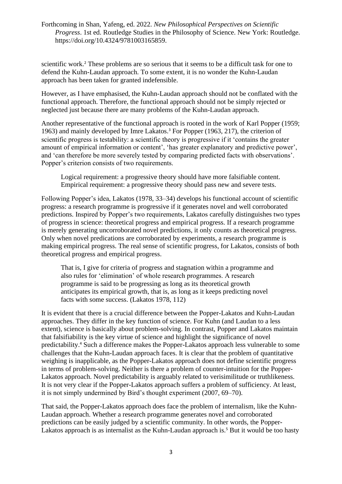scientific work.<sup>2</sup> These problems are so serious that it seems to be a difficult task for one to defend the Kuhn-Laudan approach. To some extent, it is no wonder the Kuhn-Laudan approach has been taken for granted indefensible.

However, as I have emphasised, the Kuhn-Laudan approach should not be conflated with the functional approach. Therefore, the functional approach should not be simply rejected or neglected just because there are many problems of the Kuhn-Laudan approach.

Another representative of the functional approach is rooted in the work of Karl Popper (1959; 1963) and mainly developed by Imre Lakatos.<sup>3</sup> For Popper (1963, 217), the criterion of scientific progress is testability: a scientific theory is progressive if it 'contains the greater amount of empirical information or content', 'has greater explanatory and predictive power', and 'can therefore be more severely tested by comparing predicted facts with observations'. Popper's criterion consists of two requirements.

Logical requirement: a progressive theory should have more falsifiable content. Empirical requirement: a progressive theory should pass new and severe tests.

Following Popper's idea, Lakatos (1978, 33–34) develops his functional account of scientific progress: a research programme is progressive if it generates novel and well corroborated predictions. Inspired by Popper's two requirements, Lakatos carefully distinguishes two types of progress in science: theoretical progress and empirical progress. If a research programme is merely generating uncorroborated novel predictions, it only counts as theoretical progress. Only when novel predications are corroborated by experiments, a research programme is making empirical progress. The real sense of scientific progress, for Lakatos, consists of both theoretical progress and empirical progress.

That is, I give for criteria of progress and stagnation within a programme and also rules for 'elimination' of whole research programmes. A research programme is said to be progressing as long as its theoretical growth anticipates its empirical growth, that is, as long as it keeps predicting novel facts with some success. (Lakatos 1978, 112)

It is evident that there is a crucial difference between the Popper-Lakatos and Kuhn-Laudan approaches. They differ in the key function of science. For Kuhn (and Laudan to a less extent), science is basically about problem-solving. In contrast, Popper and Lakatos maintain that falsifiability is the key virtue of science and highlight the significance of novel predictability. <sup>4</sup> Such a difference makes the Popper-Lakatos approach less vulnerable to some challenges that the Kuhn-Laudan approach faces. It is clear that the problem of quantitative weighing is inapplicable, as the Popper-Lakatos approach does not define scientific progress in terms of problem-solving. Neither is there a problem of counter-intuition for the Popper-Lakatos approach. Novel predictability is arguably related to verisimilitude or truthlikeness. It is not very clear if the Popper-Lakatos approach suffers a problem of sufficiency. At least, it is not simply undermined by Bird's thought experiment (2007, 69–70).

That said, the Popper-Lakatos approach does face the problem of internalism, like the Kuhn-Laudan approach. Whether a research programme generates novel and corroborated predictions can be easily judged by a scientific community. In other words, the Popper-Lakatos approach is as internalist as the Kuhn-Laudan approach is.<sup>5</sup> But it would be too hasty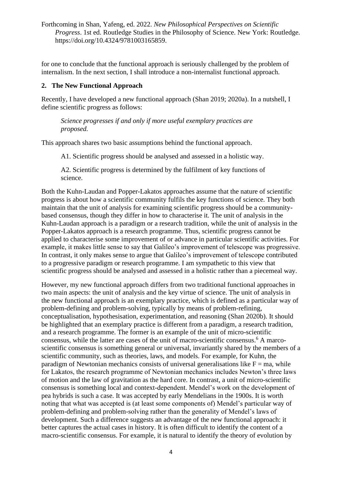for one to conclude that the functional approach is seriously challenged by the problem of internalism. In the next section, I shall introduce a non-internalist functional approach.

## **2. The New Functional Approach**

Recently, I have developed a new functional approach (Shan 2019; 2020a). In a nutshell, I define scientific progress as follows:

*Science progresses if and only if more useful exemplary practices are proposed.*

This approach shares two basic assumptions behind the functional approach.

A1. Scientific progress should be analysed and assessed in a holistic way.

A2. Scientific progress is determined by the fulfilment of key functions of science.

Both the Kuhn-Laudan and Popper-Lakatos approaches assume that the nature of scientific progress is about how a scientific community fulfils the key functions of science. They both maintain that the unit of analysis for examining scientific progress should be a communitybased consensus, though they differ in how to characterise it. The unit of analysis in the Kuhn-Laudan approach is a paradigm or a research tradition, while the unit of analysis in the Popper-Lakatos approach is a research programme. Thus, scientific progress cannot be applied to characterise some improvement of or advance in particular scientific activities. For example, it makes little sense to say that Galileo's improvement of telescope was progressive. In contrast, it only makes sense to argue that Galileo's improvement of telescope contributed to a progressive paradigm or research programme. I am sympathetic to this view that scientific progress should be analysed and assessed in a holistic rather than a piecemeal way.

However, my new functional approach differs from two traditional functional approaches in two main aspects: the unit of analysis and the key virtue of science. The unit of analysis in the new functional approach is an exemplary practice, which is defined as a particular way of problem-defining and problem-solving, typically by means of problem-refining, conceptualisation, hypothesisation, experimentation, and reasoning (Shan 2020b). It should be highlighted that an exemplary practice is different from a paradigm, a research tradition, and a research programme. The former is an example of the unit of micro-scientific consensus, while the latter are cases of the unit of macro-scientific consensus.<sup>6</sup> A marcoscientific consensus is something general or universal, invariantly shared by the members of a scientific community, such as theories, laws, and models. For example, for Kuhn, the paradigm of Newtonian mechanics consists of universal generalisations like  $F = ma$ , while for Lakatos, the research programme of Newtonian mechanics includes Newton's three laws of motion and the law of gravitation as the hard core. In contrast, a unit of micro-scientific consensus is something local and context-dependent. Mendel's work on the development of pea hybrids is such a case. It was accepted by early Mendelians in the 1900s. It is worth noting that what was accepted is (at least some components of) Mendel's particular way of problem-defining and problem-solving rather than the generality of Mendel's laws of development. Such a difference suggests an advantage of the new functional approach: it better captures the actual cases in history. It is often difficult to identify the content of a macro-scientific consensus. For example, it is natural to identify the theory of evolution by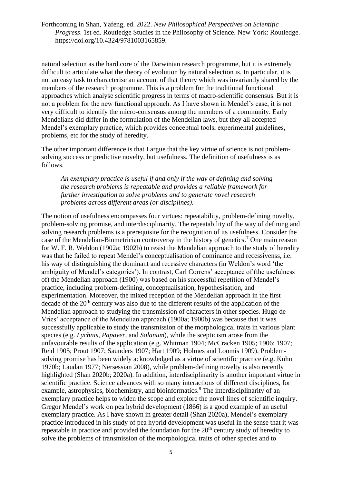natural selection as the hard core of the Darwinian research programme, but it is extremely difficult to articulate what the theory of evolution by natural selection is. In particular, it is not an easy task to characterise an account of that theory which was invariantly shared by the members of the research programme. This is a problem for the traditional functional approaches which analyse scientific progress in terms of macro-scientific consensus. But it is not a problem for the new functional approach. As I have shown in Mendel's case, it is not very difficult to identify the micro-consensus among the members of a community. Early Mendelians did differ in the formulation of the Mendelian laws, but they all accepted Mendel's exemplary practice, which provides conceptual tools, experimental guidelines, problems, etc for the study of heredity.

The other important difference is that I argue that the key virtue of science is not problemsolving success or predictive novelty, but usefulness. The definition of usefulness is as follows.

*An exemplary practice is useful if and only if the way of defining and solving the research problems is repeatable and provides a reliable framework for further investigation to solve problems and to generate novel research problems across different areas (or disciplines).*

The notion of usefulness encompasses four virtues: repeatability, problem-defining novelty, problem-solving promise, and interdisciplinarity. The repeatability of the way of defining and solving research problems is a prerequisite for the recognition of its usefulness. Consider the case of the Mendelian-Biometrician controversy in the history of genetics.<sup>7</sup> One main reason for W. F. R. Weldon (1902a; 1902b) to resist the Mendelian approach to the study of heredity was that he failed to repeat Mendel's conceptualisation of dominance and recessivenss, i.e. his way of distinguishing the dominant and recessive characters (in Weldon's word 'the ambiguity of Mendel's categories'). In contrast, Carl Correns' acceptance of (the usefulness of) the Mendelian approach (1900) was based on his successful repetition of Mendel's practice, including problem-defining, conceptualisation, hypothesisation, and experimentation. Moreover, the mixed reception of the Mendelian approach in the first decade of the  $20<sup>th</sup>$  century was also due to the different results of the application of the Mendelian approach to studying the transmission of characters in other species. Hugo de Vries' acceptance of the Mendelian approach (1900a; 1900b) was because that it was successfully applicable to study the transmission of the morphological traits in various plant species (e.g. *Lychnis*, *Papaver*, and *Solanum*), while the scepticism arose from the unfavourable results of the application (e.g. Whitman 1904; McCracken 1905; 1906; 1907; Reid 1905; Prout 1907; Saunders 1907; Hart 1909; Holmes and Loomis 1909). Problemsolving promise has been widely acknowledged as a virtue of scientific practice (e.g. Kuhn 1970b; Laudan 1977; Nersessian 2008), while problem-defining novelty is also recently highlighted (Shan 2020b; 2020a). In addition, interdisciplinarity is another important virtue in scientific practice. Science advances with so many interactions of different disciplines, for example, astrophysics, biochemistry, and bioinformatics.<sup>8</sup> The interdisciplinarity of an exemplary practice helps to widen the scope and explore the novel lines of scientific inquiry. Gregor Mendel's work on pea hybrid development (1866) is a good example of an useful exemplary practice. As I have shown in greater detail (Shan 2020a), Mendel's exemplary practice introduced in his study of pea hybrid development was useful in the sense that it was repeatable in practice and provided the foundation for the  $20<sup>th</sup>$  century study of heredity to solve the problems of transmission of the morphological traits of other species and to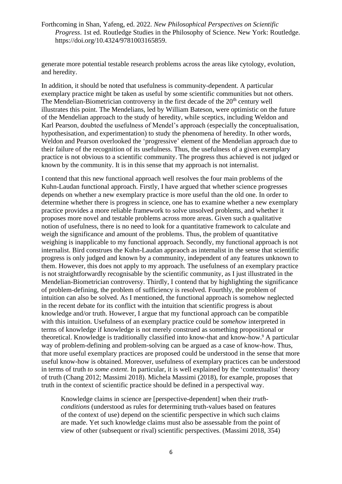generate more potential testable research problems across the areas like cytology, evolution, and heredity.

In addition, it should be noted that usefulness is community-dependent. A particular exemplary practice might be taken as useful by some scientific communities but not others. The Mendelian-Biometrician controversy in the first decade of the  $20<sup>th</sup>$  century well illustrates this point. The Mendelians, led by William Bateson, were optimistic on the future of the Mendelian approach to the study of heredity, while sceptics, including Weldon and Karl Pearson, doubted the usefulness of Mendel's approach (especially the conceptualisation, hypothesisation, and experimentation) to study the phenomena of heredity. In other words, Weldon and Pearson overlooked the 'progressive' element of the Mendelian approach due to their failure of the recognition of its usefulness. Thus, the usefulness of a given exemplary practice is not obvious to a scientific community. The progress thus achieved is not judged or known by the community. It is in this sense that my approach is not internalist.

I contend that this new functional approach well resolves the four main problems of the Kuhn-Laudan functional approach. Firstly, I have argued that whether science progresses depends on whether a new exemplary practice is more useful than the old one. In order to determine whether there is progress in science, one has to examine whether a new exemplary practice provides a more reliable framework to solve unsolved problems, and whether it proposes more novel and testable problems across more areas. Given such a qualitative notion of usefulness, there is no need to look for a quantitative framework to calculate and weigh the significance and amount of the problems. Thus, the problem of quantitative weighing is inapplicable to my functional approach. Secondly, my functional approach is not internalist. Bird construes the Kuhn-Laudan appraoch as internalist in the sense that scientific progress is only judged and known by a community, independent of any features unknown to them. However, this does not apply to my approach. The usefulness of an exemplary practice is not straightforwardly recognisable by the scientific community, as I just illustrated in the Mendelian-Biometrician controversy. Thirdly, I contend that by highlighting the significance of problem-defining, the problem of sufficiency is resolved. Fourthly, the problem of intuition can also be solved. As I mentioned, the functional approach is somehow neglected in the recent debate for its conflict with the intuition that scientific progress is about knowledge and/or truth. However, I argue that my functional approach can be compatible with this intuition. Usefulness of an exemplary practice could be *somehow* interpreted in terms of knowledge if knowledge is not merely construed as something propositional or theoretical. Knowledge is traditionally classified into know-that and know-how.<sup>9</sup> A particular way of problem-defining and problem-solving can be argued as a case of know-how. Thus, that more useful exemplary practices are proposed could be understood in the sense that more useful know-how is obtained. Moreover, usefulness of exemplary practices can be understood in terms of truth *to some extent*. In particular, it is well explained by the 'contextualist' theory of truth (Chang 2012; Massimi 2018). Michela Massimi (2018), for example, proposes that truth in the context of scientific practice should be defined in a perspectival way.

Knowledge claims in science are [perspective-dependent] when their *truthconditions* (understood as rules for determining truth-values based on features of the context of use) depend on the scientific perspective in which such claims are made. Yet such knowledge claims must also be assessable from the point of view of other (subsequent or rival) scientific perspectives. (Massimi 2018, 354)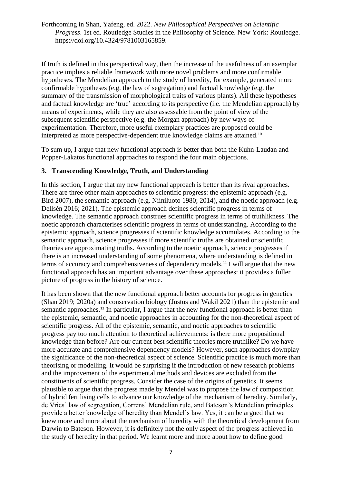If truth is defined in this perspectival way, then the increase of the usefulness of an exemplar practice implies a reliable framework with more novel problems and more confirmable hypotheses. The Mendelian approach to the study of heredity, for example, generated more confirmable hypotheses (e.g. the law of segregation) and factual knowledge (e.g. the summary of the transmission of morphological traits of various plants). All these hypotheses and factual knowledge are 'true' according to its perspective (i.e. the Mendelian approach) by means of experiments, while they are also assessable from the point of view of the subsequent scientific perspective (e.g. the Morgan approach) by new ways of experimentation. Therefore, more useful exemplary practices are proposed could be interpreted as more perspective-dependent true knowledge claims are attained.<sup>10</sup>

To sum up, I argue that new functional approach is better than both the Kuhn-Laudan and Popper-Lakatos functional approaches to respond the four main objections.

## **3. Transcending Knowledge, Truth, and Understanding**

In this section, I argue that my new functional approach is better than its rival approaches. There are three other main approaches to scientific progress: the epistemic approach (e.g. Bird 2007), the semantic approach (e.g. Niiniluoto 1980; 2014), and the noetic approach (e.g. Dellsén 2016; 2021). The epistemic approach defines scientific progress in terms of knowledge. The semantic approach construes scientific progress in terms of truthlikness. The noetic approach characterises scientific progress in terms of understanding. According to the epistemic approach, science progresses if scientific knowledge accumulates. According to the semantic approach, science progresses if more scientific truths are obtained or scientific theories are approximating truths. According to the noetic approach, science progresses if there is an increased understanding of some phenomena, where understanding is defined in terms of accuracy and comprehensiveness of dependency models.<sup>11</sup> I will argue that the new functional approach has an important advantage over these approaches: it provides a fuller picture of progress in the history of science.

It has been shown that the new functional approach better accounts for progress in genetics (Shan 2019; 2020a) and conservation biology (Justus and Wakil 2021) than the epistemic and semantic approaches.<sup>12</sup> In particular, I argue that the new functional approach is better than the epistemic, semantic, and noetic approaches in accounting for the non-theoretical aspect of scientific progress. All of the epistemic, semantic, and noetic approaches to scientific progress pay too much attention to theoretical achievements: is there more propositional knowledge than before? Are our current best scientific theories more truthlike? Do we have more accurate and comprehensive dependency models? However, such approaches downplay the significance of the non-theoretical aspect of science. Scientific practice is much more than theorising or modelling. It would be surprising if the introduction of new research problems and the improvement of the experimental methods and devices are excluded from the constituents of scientific progress. Consider the case of the origins of genetics. It seems plausible to argue that the progress made by Mendel was to propose the law of composition of hybrid fertilising cells to advance our knowledge of the mechanism of heredity. Similarly, de Vries' law of segregation, Correns' Mendelian rule, and Bateson's Mendelian principles provide a better knowledge of heredity than Mendel's law. Yes, it can be argued that we knew more and more about the mechanism of heredity with the theoretical development from Darwin to Bateson. However, it is definitely not the only aspect of the progress achieved in the study of heredity in that period. We learnt more and more about how to define good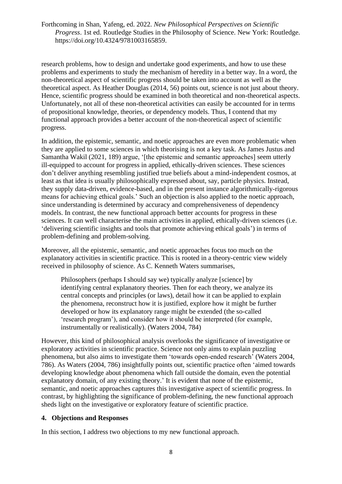research problems, how to design and undertake good experiments, and how to use these problems and experiments to study the mechanism of heredity in a better way. In a word, the non-theoretical aspect of scientific progress should be taken into account as well as the theoretical aspect. As Heather Douglas (2014, 56) points out, science is not just about theory. Hence, scientific progress should be examined in both theoretical and non-theoretical aspects. Unfortunately, not all of these non-theoretical activities can easily be accounted for in terms of propositional knowledge, theories, or dependency models. Thus, I contend that my functional approach provides a better account of the non-theoretical aspect of scientific progress.

In addition, the epistemic, semantic, and noetic approaches are even more problematic when they are applied to some sciences in which theorising is not a key task. As James Justus and Samantha Wakil (2021, 189) argue, '[the epistemic and semantic approaches] seem utterly ill-equipped to account for progress in applied, ethically-driven sciences. These sciences don't deliver anything resembling justified true beliefs about a mind-independent cosmos, at least as that idea is usually philosophically expressed about, say, particle physics. Instead, they supply data-driven, evidence-based, and in the present instance algorithmically-rigorous means for achieving ethical goals.' Such an objection is also applied to the noetic approach, since understanding is determined by accuracy and comprehensiveness of dependency models. In contrast, the new functional approach better accounts for progress in these sciences. It can well characterise the main activities in applied, ethically-driven sciences (i.e. 'delivering scientific insights and tools that promote achieving ethical goals') in terms of problem-defining and problem-solving.

Moreover, all the epistemic, semantic, and noetic approaches focus too much on the explanatory activities in scientific practice. This is rooted in a theory-centric view widely received in philosophy of science. As C. Kenneth Waters summarises,

Philosophers (perhaps I should say we) typically analyze [science] by identifying central explanatory theories. Then for each theory, we analyze its central concepts and principles (or laws), detail how it can be applied to explain the phenomena, reconstruct how it is justified, explore how it might be further developed or how its explanatory range might be extended (the so-called 'research program'), and consider how it should be interpreted (for example, instrumentally or realistically). (Waters 2004, 784)

However, this kind of philosophical analysis overlooks the significance of investigative or exploratory activities in scientific practice. Science not only aims to explain puzzling phenomena, but also aims to investigate them 'towards open-ended research' (Waters 2004, 786). As Waters (2004, 786) insightfully points out, scientific practice often 'aimed towards developing knowledge about phenomena which fall outside the domain, even the potential explanatory domain, of any existing theory.' It is evident that none of the epistemic, semantic, and noetic approaches captures this investigative aspect of scientific progress. In contrast, by highlighting the significance of problem-defining, the new functional approach sheds light on the investigative or exploratory feature of scientific practice.

# **4. Objections and Responses**

In this section, I address two objections to my new functional approach.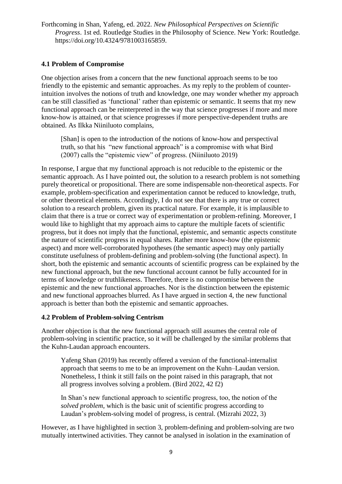# **4.1 Problem of Compromise**

One objection arises from a concern that the new functional approach seems to be too friendly to the epistemic and semantic approaches. As my reply to the problem of counterintuition involves the notions of truth and knowledge, one may wonder whether my approach can be still classified as 'functional' rather than epistemic or semantic. It seems that my new functional approach can be reinterpreted in the way that science progresses if more and more know-how is attained, or that science progresses if more perspective-dependent truths are obtained. As Ilkka Niiniluoto complains,

[Shan] is open to the introduction of the notions of know-how and perspectival truth, so that his "new functional approach" is a compromise with what Bird (2007) calls the "epistemic view" of progress. (Niiniluoto 2019)

In response, I argue that my functional approach is not reducible to the epistemic or the semantic approach. As I have pointed out, the solution to a research problem is not something purely theoretical or propositional. There are some indispensable non-theoretical aspects. For example, problem-specification and experimentation cannot be reduced to knowledge, truth, or other theoretical elements. Accordingly, I do not see that there is any true or correct solution to a research problem, given its practical nature. For example, it is implausible to claim that there is a true or correct way of experimentation or problem-refining. Moreover, I would like to highlight that my approach aims to capture the multiple facets of scientific progress, but it does not imply that the functional, epistemic, and semantic aspects constitute the nature of scientific progress in equal shares. Rather more know-how (the epistemic aspect) and more well-corroborated hypotheses (the semantic aspect) may only partially constitute usefulness of problem-defining and problem-solving (the functional aspect). In short, both the epistemic and semantic accounts of scientific progress can be explained by the new functional approach, but the new functional account cannot be fully accounted for in terms of knowledge or truthlikeness. Therefore, there is no compromise between the epistemic and the new functional approaches. Nor is the distinction between the epistemic and new functional approaches blurred. As I have argued in section 4, the new functional approach is better than both the epistemic and semantic approaches.

# **4.2 Problem of Problem-solving Centrism**

Another objection is that the new functional approach still assumes the central role of problem-solving in scientific practice, so it will be challenged by the similar problems that the Kuhn-Laudan approach encounters.

Yafeng Shan (2019) has recently offered a version of the functional-internalist approach that seems to me to be an improvement on the Kuhn–Laudan version. Nonetheless, I think it still fails on the point raised in this paragraph, that not all progress involves solving a problem. (Bird 2022, 42 f2)

In Shan's new functional approach to scientific progress, too, the notion of the *solved problem*, which is the basic unit of scientific progress according to Laudan's problem-solving model of progress, is central. (Mizrahi 2022, 3)

However, as I have highlighted in section 3, problem-defining and problem-solving are two mutually intertwined activities. They cannot be analysed in isolation in the examination of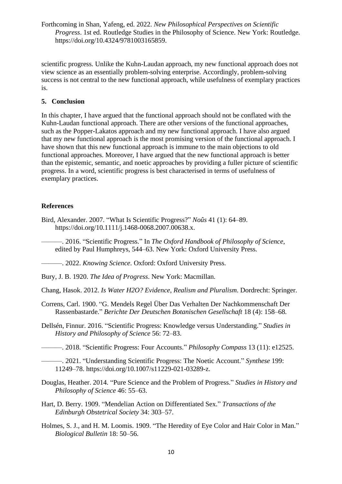scientific progress. Unlike the Kuhn-Laudan approach, my new functional approach does not view science as an essentially problem-solving enterprise. Accordingly, problem-solving success is not central to the new functional approach, while usefulness of exemplary practices is.

### **5. Conclusion**

In this chapter, I have argued that the functional approach should not be conflated with the Kuhn-Laudan functional approach. There are other versions of the functional approaches, such as the Popper-Lakatos approach and my new functional approach. I have also argued that my new functional approach is the most promising version of the functional approach. I have shown that this new functional approach is immune to the main objections to old functional approaches. Moreover, I have argued that the new functional approach is better than the epistemic, semantic, and noetic approaches by providing a fuller picture of scientific progress. In a word, scientific progress is best characterised in terms of usefulness of exemplary practices.

#### **References**

Bird, Alexander. 2007. "What Is Scientific Progress?" *Noûs* 41 (1): 64–89. https://doi.org/10.1111/j.1468-0068.2007.00638.x.

———. 2016. "Scientific Progress." In *The Oxford Handbook of Philosophy of Science*, edited by Paul Humphreys, 544–63. New York: Oxford University Press.

———. 2022. *Knowing Science*. Oxford: Oxford University Press.

Bury, J. B. 1920. *The Idea of Progress*. New York: Macmillan.

Chang, Hasok. 2012. *Is Water H2O? Evidence, Realism and Pluralism*. Dordrecht: Springer.

- Correns, Carl. 1900. "G. Mendels Regel Über Das Verhalten Der Nachkommenschaft Der Rassenbastarde." *Berichte Der Deutschen Botanischen Gesellschaft* 18 (4): 158–68.
- Dellsén, Finnur. 2016. "Scientific Progress: Knowledge versus Understanding." *Studies in History and Philosophy of Science* 56: 72–83.
- ———. 2018. "Scientific Progress: Four Accounts." *Philosophy Compass* 13 (11): e12525.
	- ———. 2021. "Understanding Scientific Progress: The Noetic Account." *Synthese* 199: 11249–78. https://doi.org/10.1007/s11229-021-03289-z.
- Douglas, Heather. 2014. "Pure Science and the Problem of Progress." *Studies in History and Philosophy of Science* 46: 55–63.
- Hart, D. Berry. 1909. "Mendelian Action on Differentiated Sex." *Transactions of the Edinburgh Obstetrical Society* 34: 303–57.
- Holmes, S. J., and H. M. Loomis. 1909. "The Heredity of Eye Color and Hair Color in Man." *Biological Bulletin* 18: 50–56.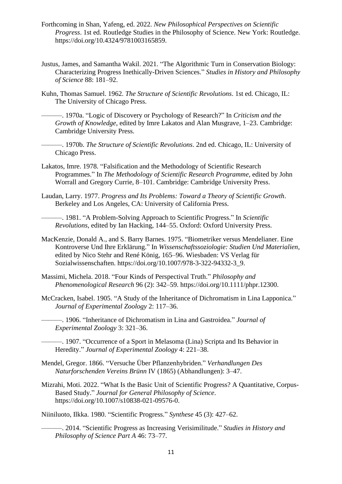- Forthcoming in Shan, Yafeng, ed. 2022. *New Philosophical Perspectives on Scientific Progress*. 1st ed. Routledge Studies in the Philosophy of Science. New York: Routledge. https://doi.org/10.4324/9781003165859.
- Justus, James, and Samantha Wakil. 2021. "The Algorithmic Turn in Conservation Biology: Characterizing Progress Inethically-Driven Sciences." *Studies in History and Philosophy of Science* 88: 181–92.
- Kuhn, Thomas Samuel. 1962. *The Structure of Scientific Revolutions*. 1st ed. Chicago, IL: The University of Chicago Press.
	- ———. 1970a. "Logic of Discovery or Psychology of Research?" In *Criticism and the Growth of Knowledge*, edited by Imre Lakatos and Alan Musgrave, 1–23. Cambridge: Cambridge University Press.

———. 1970b. *The Structure of Scientific Revolutions*. 2nd ed. Chicago, IL: University of Chicago Press.

- Lakatos, Imre. 1978. "Falsification and the Methodology of Scientific Research Programmes." In *The Methodology of Scientific Research Programme*, edited by John Worrall and Gregory Currie, 8–101. Cambridge: Cambridge University Press.
- Laudan, Larry. 1977. *Progress and Its Problems: Toward a Theory of Scientific Growth*. Berkeley and Los Angeles, CA: University of California Press.

———. 1981. "A Problem-Solving Approach to Scientific Progress." In *Scientific Revolutions*, edited by Ian Hacking, 144–55. Oxford: Oxford University Press.

- MacKenzie, Donald A., and S. Barry Barnes. 1975. "Biometriker versus Mendelianer. Eine Kontroverse Und Ihre Erklärung." In *Wissenschaftssoziologie: Studien Und Materialien*, edited by Nico Stehr and René König, 165–96. Wiesbaden: VS Verlag für Sozialwissenschaften. https://doi.org/10.1007/978-3-322-94332-3\_9.
- Massimi, Michela. 2018. "Four Kinds of Perspectival Truth." *Philosophy and Phenomenological Research* 96 (2): 342–59. https://doi.org/10.1111/phpr.12300.
- McCracken, Isabel. 1905. "A Study of the Inheritance of Dichromatism in Lina Lapponica." *Journal of Experimental Zoology* 2: 117–36.

———. 1906. "Inheritance of Dichromatism in Lina and Gastroidea." *Journal of Experimental Zoology* 3: 321–36.

———. 1907. "Occurrence of a Sport in Melasoma (Lina) Scripta and Its Behavior in Heredity." *Journal of Experimental Zoology* 4: 221–38.

- Mendel, Gregor. 1866. "Versuche Über Pflanzenhybriden." *Verhandlungen Des Naturforschenden Vereins Brünn* IV (1865) (Abhandlungen): 3–47.
- Mizrahi, Moti. 2022. "What Is the Basic Unit of Scientific Progress? A Quantitative, Corpus-Based Study." *Journal for General Philosophy of Science*. https://doi.org/10.1007/s10838-021-09576-0.

Niiniluoto, Ilkka. 1980. "Scientific Progress." *Synthese* 45 (3): 427–62.

———. 2014. "Scientific Progress as Increasing Verisimilitude." *Studies in History and Philosophy of Science Part A* 46: 73–77.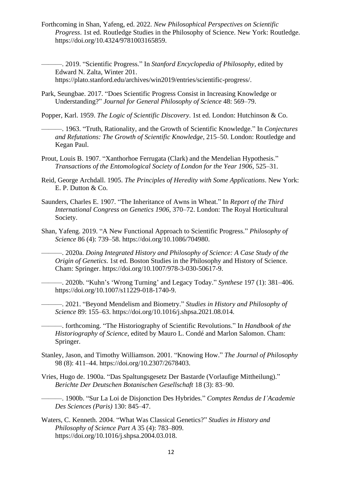———. 2019. "Scientific Progress." In *Stanford Encyclopedia of Philosophy*, edited by Edward N. Zalta, Winter 201. https://plato.stanford.edu/archives/win2019/entries/scientific-progress/.

Park, Seungbae. 2017. "Does Scientific Progress Consist in Increasing Knowledge or Understanding?" *Journal for General Philosophy of Science* 48: 569–79.

Popper, Karl. 1959. *The Logic of Scientific Discovery*. 1st ed. London: Hutchinson & Co.

———. 1963. "Truth, Rationality, and the Growth of Scientific Knowledge." In *Conjectures and Refutations: The Growth of Scientific Knowledge*, 215–50. London: Routledge and Kegan Paul.

Prout, Louis B. 1907. "Xanthorhoe Ferrugata (Clark) and the Mendelian Hypothesis." *Transactions of the Entomological Society of London for the Year 1906*, 525–31.

Reid, George Archdall. 1905. *The Principles of Heredity with Some Applications*. New York: E. P. Dutton & Co.

Saunders, Charles E. 1907. "The Inheritance of Awns in Wheat." In *Report of the Third International Congress on Genetics 1906*, 370–72. London: The Royal Horticultural Society.

Shan, Yafeng. 2019. "A New Functional Approach to Scientific Progress." *Philosophy of Science* 86 (4): 739–58. https://doi.org/10.1086/704980.

———. 2020a. *Doing Integrated History and Philosophy of Science: A Case Study of the Origin of Genetics*. 1st ed. Boston Studies in the Philosophy and History of Science. Cham: Springer. https://doi.org/10.1007/978-3-030-50617-9.

———. 2020b. "Kuhn's 'Wrong Turning' and Legacy Today." *Synthese* 197 (1): 381–406. https://doi.org/10.1007/s11229-018-1740-9.

———. 2021. "Beyond Mendelism and Biometry." *Studies in History and Philosophy of Science* 89: 155–63. https://doi.org/10.1016/j.shpsa.2021.08.014.

———. forthcoming. "The Historiography of Scientific Revolutions." In *Handbook of the Historiography of Science*, edited by Mauro L. Condé and Marlon Salomon. Cham: Springer.

Stanley, Jason, and Timothy Williamson. 2001. "Knowing How." *The Journal of Philosophy* 98 (8): 411–44. https://doi.org/10.2307/2678403.

Vries, Hugo de. 1900a. "Das Spaltungsgesetz Der Bastarde (Vorlaufige Mittheilung)." *Berichte Der Deutschen Botanischen Gesellschaft* 18 (3): 83–90.

———. 1900b. "Sur La Loi de Disjonction Des Hybrides." *Comptes Rendus de I'Academie Des Sciences (Paris)* 130: 845–47.

Waters, C. Kenneth. 2004. "What Was Classical Genetics?" *Studies in History and Philosophy of Science Part A* 35 (4): 783–809. https://doi.org/10.1016/j.shpsa.2004.03.018.